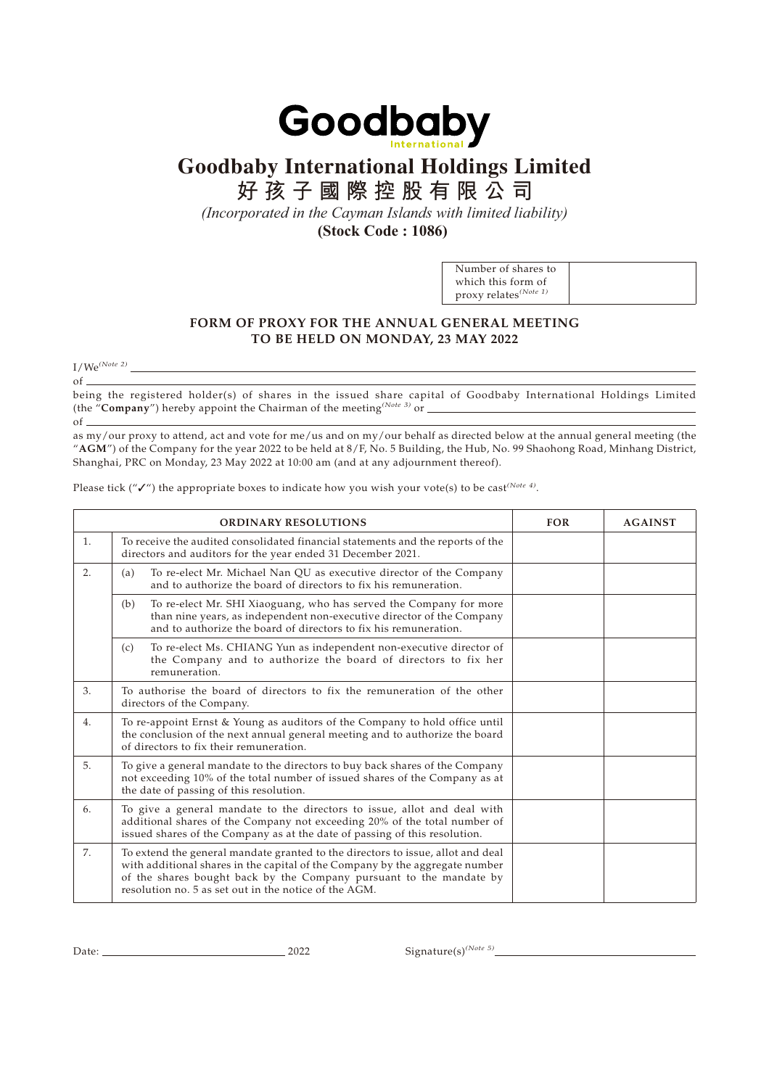

## **Goodbaby International Holdings Limited**

**好孩子國際控股有限公司**

*(Incorporated in the Cayman Islands with limited liability)*

**(Stock Code : 1086)** 

| Number of shares to               |  |
|-----------------------------------|--|
| which this form of                |  |
| proxy relates <sup>(Note 1)</sup> |  |

## **FORM OF PROXY FOR THE ANNUAL GENERAL MEETING TO BE HELD ON MONDAY, 23 MAY 2022**

 $I/We^{(Note 2)}$ 

 $of$   $\overline{\phantom{0}}$ being the registered holder(s) of shares in the issued share capital of Goodbaby International Holdings Limited (the "**Company**") hereby appoint the Chairman of the meeting*(Note 3)* or

of

as my/our proxy to attend, act and vote for me/us and on my/our behalf as directed below at the annual general meeting (the "**AGM**") of the Company for the year 2022 to be held at 8/F, No. 5 Building, the Hub, No. 99 Shaohong Road, Minhang District, Shanghai, PRC on Monday, 23 May 2022 at 10:00 am (and at any adjournment thereof).

Please tick ("**√**") the appropriate boxes to indicate how you wish your vote(s) to be cast<sup>(Note 4)</sup>.

|    | <b>ORDINARY RESOLUTIONS</b>                                                                                                                                                                                                                                                                     | <b>FOR</b> | <b>AGAINST</b> |
|----|-------------------------------------------------------------------------------------------------------------------------------------------------------------------------------------------------------------------------------------------------------------------------------------------------|------------|----------------|
| 1. | To receive the audited consolidated financial statements and the reports of the<br>directors and auditors for the year ended 31 December 2021.                                                                                                                                                  |            |                |
| 2. | To re-elect Mr. Michael Nan QU as executive director of the Company<br>(a)<br>and to authorize the board of directors to fix his remuneration.                                                                                                                                                  |            |                |
|    | To re-elect Mr. SHI Xiaoguang, who has served the Company for more<br>(b)<br>than nine years, as independent non-executive director of the Company<br>and to authorize the board of directors to fix his remuneration.                                                                          |            |                |
|    | To re-elect Ms. CHIANG Yun as independent non-executive director of<br>(c)<br>the Company and to authorize the board of directors to fix her<br>remuneration.                                                                                                                                   |            |                |
| 3. | To authorise the board of directors to fix the remuneration of the other<br>directors of the Company.                                                                                                                                                                                           |            |                |
| 4. | To re-appoint Ernst & Young as auditors of the Company to hold office until<br>the conclusion of the next annual general meeting and to authorize the board<br>of directors to fix their remuneration.                                                                                          |            |                |
| 5. | To give a general mandate to the directors to buy back shares of the Company<br>not exceeding 10% of the total number of issued shares of the Company as at<br>the date of passing of this resolution.                                                                                          |            |                |
| 6. | To give a general mandate to the directors to issue, allot and deal with<br>additional shares of the Company not exceeding 20% of the total number of<br>issued shares of the Company as at the date of passing of this resolution.                                                             |            |                |
| 7. | To extend the general mandate granted to the directors to issue, allot and deal<br>with additional shares in the capital of the Company by the aggregate number<br>of the shares bought back by the Company pursuant to the mandate by<br>resolution no. 5 as set out in the notice of the AGM. |            |                |